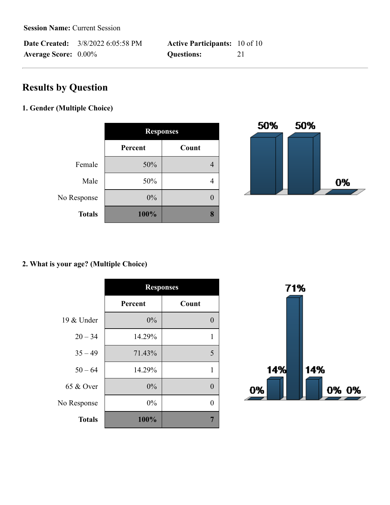|                             | <b>Date Created:</b> 3/8/2022 6:05:58 PM | <b>Active Participants:</b> 10 of 10 |     |
|-----------------------------|------------------------------------------|--------------------------------------|-----|
| <b>Average Score: 0.00%</b> |                                          | <b>Questions:</b>                    | -21 |

# **Results by Question**

# **1. Gender (Multiple Choice)**

|               | <b>Responses</b> |       |
|---------------|------------------|-------|
|               | Percent          | Count |
| Female        | 50%              |       |
| Male          | 50%              |       |
| No Response   | 0%               |       |
| <b>Totals</b> | 100%             |       |



#### **2. What is your age? (Multiple Choice)**

|               | <b>Responses</b> |       |  |
|---------------|------------------|-------|--|
|               | Percent          | Count |  |
| 19 & Under    | 0%               | 0     |  |
| $20 - 34$     | 14.29%           | 1     |  |
| $35 - 49$     | 71.43%           | 5     |  |
| $50 - 64$     | 14.29%           | 1     |  |
| 65 & Over     | 0%               | 0     |  |
| No Response   | 0%               | 0     |  |
| <b>Totals</b> | 100%             | 7     |  |

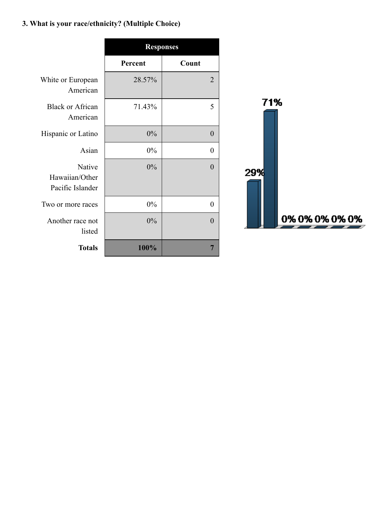# **3. What is your race/ethnicity? (Multiple Choice)**

|                                              | <b>Responses</b> |                |
|----------------------------------------------|------------------|----------------|
|                                              | Percent          | Count          |
| White or European<br>American                | 28.57%           | $\overline{2}$ |
| <b>Black or African</b><br>American          | 71.43%           | 5              |
| Hispanic or Latino                           | 0%               | $\overline{0}$ |
| Asian                                        | 0%               | 0              |
| Native<br>Hawaiian/Other<br>Pacific Islander | 0%               | $\theta$       |
| Two or more races                            | 0%               | $\overline{0}$ |
| Another race not<br>listed                   | 0%               | $\Omega$       |
| <b>Totals</b>                                | 100%             | 7              |

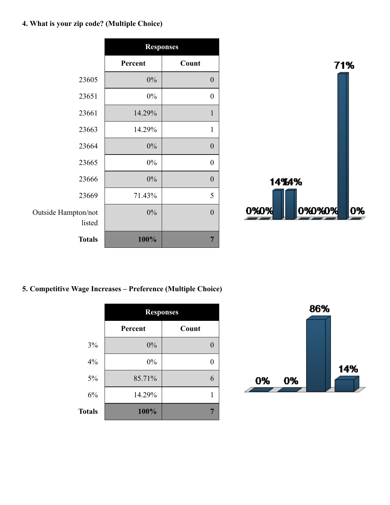# **4. What is your zip code? (Multiple Choice)**

|                               | <b>Responses</b> |                  |
|-------------------------------|------------------|------------------|
|                               | Percent          | Count            |
| 23605                         | $0\%$            | $\boldsymbol{0}$ |
| 23651                         | $0\%$            | $\boldsymbol{0}$ |
| 23661                         | 14.29%           | $\mathbf{1}$     |
| 23663                         | 14.29%           | $\mathbf{1}$     |
| 23664                         | $0\%$            | $\boldsymbol{0}$ |
| 23665                         | $0\%$            | $\boldsymbol{0}$ |
| 23666                         | $0\%$            | $\boldsymbol{0}$ |
| 23669                         | 71.43%           | 5                |
| Outside Hampton/not<br>listed | $0\%$            | $\boldsymbol{0}$ |
| <b>Totals</b>                 | 100%             | 7                |



#### **5. Competitive Wage Increases – Preference (Multiple Choice)**

|               | <b>Responses</b> |       |
|---------------|------------------|-------|
|               | Percent          | Count |
| 3%            | 0%               |       |
| 4%            | 0%               |       |
| $5\%$         | 85.71%           |       |
| 6%            | 14.29%           |       |
| <b>Totals</b> | 100%             |       |

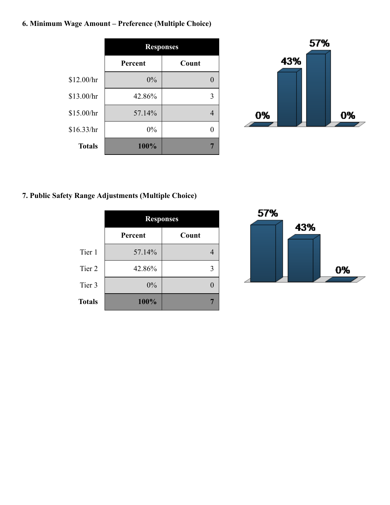# **6. Minimum Wage Amount – Preference (Multiple Choice)**

|               | <b>Responses</b> |       |
|---------------|------------------|-------|
|               | Percent          | Count |
| \$12.00/hr    | 0%               |       |
| \$13.00/hr    | 42.86%           |       |
| \$15.00/hr    | 57.14%           |       |
| \$16.33/hr    | 0%               |       |
| <b>Totals</b> | 100%             |       |



#### **7. Public Safety Range Adjustments (Multiple Choice)**

|               | <b>Responses</b> |       |
|---------------|------------------|-------|
|               | Percent          | Count |
| Tier 1        | 57.14%           |       |
| Tier 2        | 42.86%           |       |
| Tier 3        | $0\%$            |       |
| <b>Totals</b> | 100%             |       |

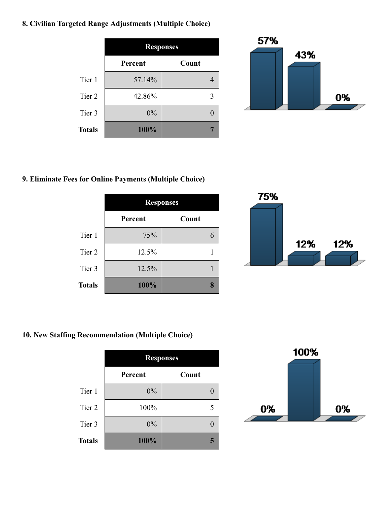#### **8. Civilian Targeted Range Adjustments (Multiple Choice)**

|               | <b>Responses</b> |       |
|---------------|------------------|-------|
|               | Percent          | Count |
| Tier 1        | 57.14%           |       |
| Tier 2        | 42.86%           | 3     |
| Tier 3        | 0%               |       |
| <b>Totals</b> | 100%             |       |



#### **9. Eliminate Fees for Online Payments (Multiple Choice)**

|               | <b>Responses</b> |       |
|---------------|------------------|-------|
|               | Percent          | Count |
| Tier 1        | 75%              |       |
| Tier 2        | 12.5%            |       |
| Tier 3        | 12.5%            |       |
| <b>Totals</b> | 100%             |       |



#### **10. New Staffing Recommendation (Multiple Choice)**

|               | <b>Responses</b> |       |
|---------------|------------------|-------|
|               | Percent          | Count |
| Tier 1        | 0%               |       |
| Tier 2        | 100%             | 5     |
| Tier 3        | 0%               |       |
| <b>Totals</b> | 100%             |       |

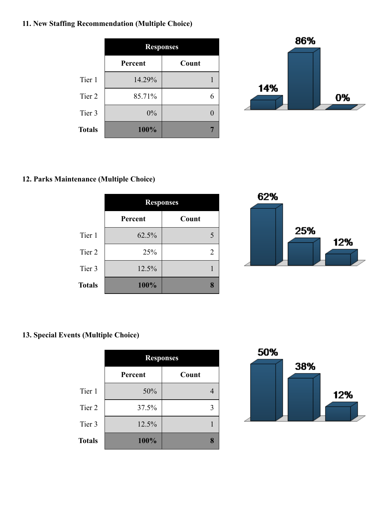#### **11. New Staffing Recommendation (Multiple Choice)**

|                   | <b>Responses</b> |       |
|-------------------|------------------|-------|
|                   | Percent          | Count |
| Tier 1            | 14.29%           |       |
| Tier <sub>2</sub> | 85.71%           |       |
| Tier 3            | 0%               |       |
| <b>Totals</b>     | 100%             |       |



#### **12. Parks Maintenance (Multiple Choice)**

|               | <b>Responses</b> |       |
|---------------|------------------|-------|
|               | Percent          | Count |
| Tier 1        | 62.5%            |       |
| Tier 2        | 25%              | 2     |
| Tier 3        | 12.5%            |       |
| <b>Totals</b> | 100%             |       |



#### **13. Special Events (Multiple Choice)**

|               | <b>Responses</b> |       |
|---------------|------------------|-------|
|               | Percent          | Count |
| Tier 1        | 50%              |       |
| Tier 2        | 37.5%            | 3     |
| Tier 3        | 12.5%            |       |
| <b>Totals</b> | 100%             |       |

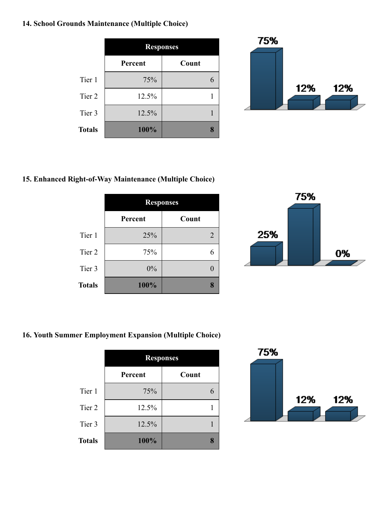#### **14. School Grounds Maintenance (Multiple Choice)**

|               | <b>Responses</b> |       |
|---------------|------------------|-------|
|               | Percent          | Count |
| Tier 1        | 75%              |       |
| Tier 2        | 12.5%            |       |
| Tier 3        | 12.5%            |       |
| <b>Totals</b> | 100%             |       |



#### **15. Enhanced Right-of-Way Maintenance (Multiple Choice)**

|               | <b>Responses</b> |                |
|---------------|------------------|----------------|
|               | Percent          | Count          |
| Tier 1        | 25%              | $\overline{2}$ |
| Tier 2        | 75%              |                |
| Tier 3        | 0%               |                |
| <b>Totals</b> | 100%             |                |



#### **16. Youth Summer Employment Expansion (Multiple Choice)**

|               | <b>Responses</b> |       |
|---------------|------------------|-------|
|               | Percent          | Count |
| Tier 1        | 75%              |       |
| Tier 2        | 12.5%            |       |
| Tier 3        | 12.5%            |       |
| <b>Totals</b> | 100%             |       |

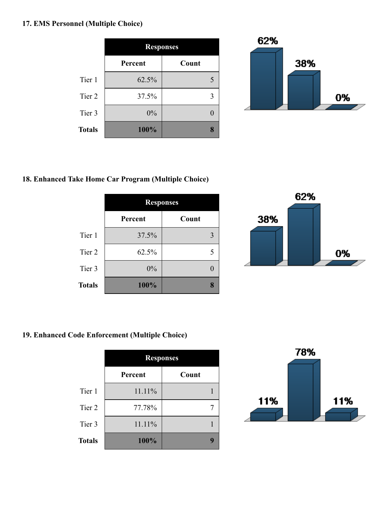#### **17. EMS Personnel (Multiple Choice)**

|                   | <b>Responses</b> |       |
|-------------------|------------------|-------|
|                   | Percent          | Count |
| Tier 1            | 62.5%            |       |
| Tier <sub>2</sub> | 37.5%            | 3     |
| Tier 3            | 0%               |       |
| <b>Totals</b>     | 100%             |       |



#### **18. Enhanced Take Home Car Program (Multiple Choice)**

|               | <b>Responses</b> |       |
|---------------|------------------|-------|
|               | Percent          | Count |
| Tier 1        | 37.5%            |       |
| Tier 2        | 62.5%            |       |
| Tier 3        | 0%               |       |
| <b>Totals</b> | 100%             |       |



#### **19. Enhanced Code Enforcement (Multiple Choice)**

|               | <b>Responses</b> |       |
|---------------|------------------|-------|
|               | Percent          | Count |
| Tier 1        | 11.11%           |       |
| Tier 2        | 77.78%           |       |
| Tier 3        | 11.11%           |       |
| <b>Totals</b> | 100%             |       |